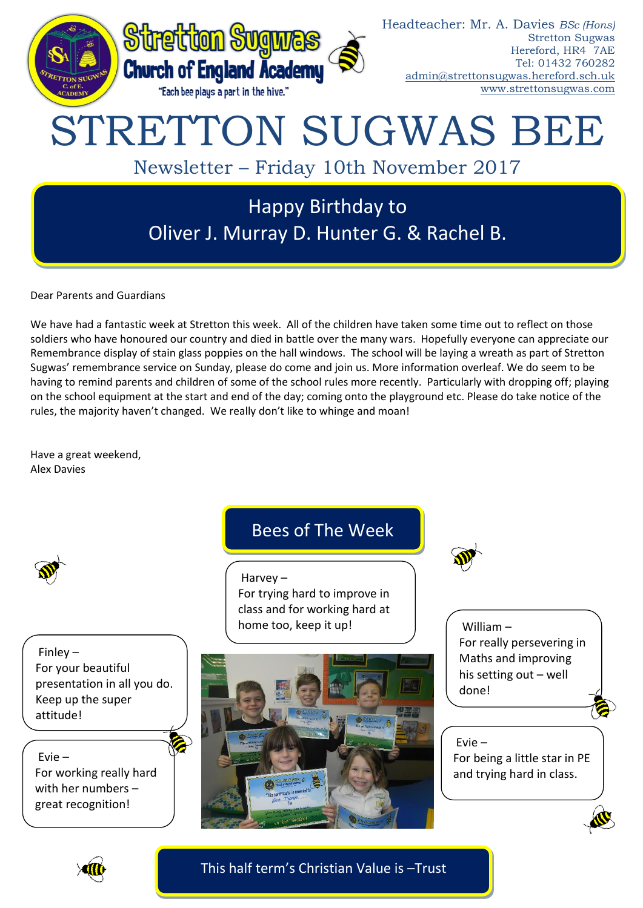

Dear Parents and Guardians

We have had a fantastic week at Stretton this week. All of the children have taken some time out to reflect on those soldiers who have honoured our country and died in battle over the many wars. Hopefully everyone can appreciate our Remembrance display of stain glass poppies on the hall windows. The school will be laying a wreath as part of Stretton Sugwas' remembrance service on Sunday, please do come and join us. More information overleaf. We do seem to be having to remind parents and children of some of the school rules more recently. Particularly with dropping off; playing on the school equipment at the start and end of the day; coming onto the playground etc. Please do take notice of the rules, the majority haven't changed. We really don't like to whinge and moan!

Have a great weekend, Alex Davies

Finley – For your beautiful presentation in all you do. Keep up the super attitude!

Evie –

For working really hard with her numbers – great recognition!

# Bees of The Week

Harvey – For trying hard to improve in class and for working hard at home too, keep it up!



William – For really persevering in Maths and improving his setting out – well done!

Evie – For being a little star in PE and trying hard in class.